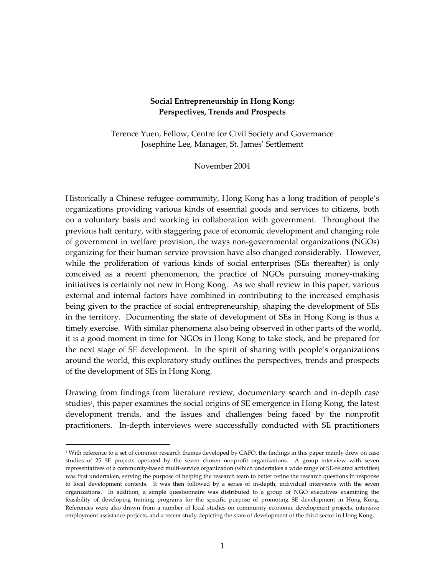#### **Social Entrepreneurship in Hong Kong: Perspectives, Trends and Prospects**

Terence Yuen, Fellow, Centre for Civil Society and Governance Josephine Lee, Manager, St. James' Settlement

November 2004

Historically a Chinese refugee community, Hong Kong has a long tradition of people's organizations providing various kinds of essential goods and services to citizens, both on a voluntary basis and working in collaboration with government. Throughout the previous half century, with staggering pace of economic development and changing role of government in welfare provision, the ways non-governmental organizations (NGOs) organizing for their human service provision have also changed considerably. However, while the proliferation of various kinds of social enterprises (SEs thereafter) is only conceived as a recent phenomenon, the practice of NGOs pursuing money-making initiatives is certainly not new in Hong Kong. As we shall review in this paper, various external and internal factors have combined in contributing to the increased emphasis being given to the practice of social entrepreneurship, shaping the development of SEs in the territory. Documenting the state of development of SEs in Hong Kong is thus a timely exercise. With similar phenomena also being observed in other parts of the world, it is a good moment in time for NGOs in Hong Kong to take stock, and be prepared for the next stage of SE development. In the spirit of sharing with people's organizations around the world, this exploratory study outlines the perspectives, trends and prospects of the development of SEs in Hong Kong.

Drawing from findings from literature review, documentary search and in-depth case studies<sup>1</sup>, this paper examines the social origins of SE emergence in Hong Kong, the latest development trends, and the issues and challenges being faced by the nonprofit practitioners. In-depth interviews were successfully conducted with SE practitioners

 $\overline{a}$ 

<sup>&</sup>lt;sup>1</sup> With reference to a set of common research themes developed by CAFO, the findings in this paper mainly drew on case studies of 25 SE projects operated by the seven chosen nonprofit organizations. A group interview with seven representatives of a community-based multi-service organization (which undertakes a wide range of SE-related activities) was first undertaken, serving the purpose of helping the research team to better refine the research questions in response to local development contexts. It was then followed by a series of in-depth, individual interviews with the seven organizations. In addition, a simple questionnaire was distributed to a group of NGO executives examining the feasibility of developing training programs for the specific purpose of promoting SE development in Hong Kong. References were also drawn from a number of local studies on community economic development projects, intensive employment assistance projects, and a recent study depicting the state of development of the third sector in Hong Kong.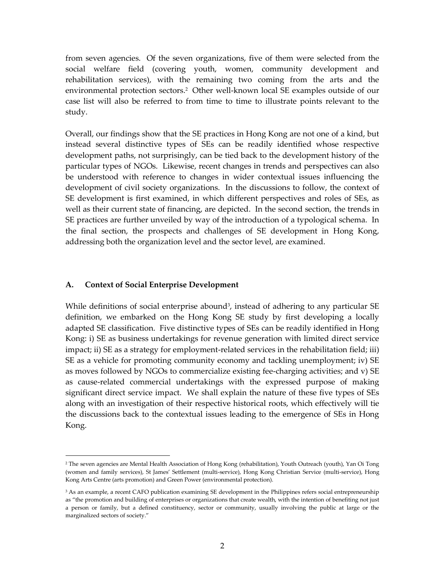from seven agencies. Of the seven organizations, five of them were selected from the social welfare field (covering youth, women, community development and rehabilitation services), with the remaining two coming from the arts and the environmental protection sectors.<sup>2</sup> Other well-known local SE examples outside of our case list will also be referred to from time to time to illustrate points relevant to the study.

Overall, our findings show that the SE practices in Hong Kong are not one of a kind, but instead several distinctive types of SEs can be readily identified whose respective development paths, not surprisingly, can be tied back to the development history of the particular types of NGOs. Likewise, recent changes in trends and perspectives can also be understood with reference to changes in wider contextual issues influencing the development of civil society organizations. In the discussions to follow, the context of SE development is first examined, in which different perspectives and roles of SEs, as well as their current state of financing, are depicted. In the second section, the trends in SE practices are further unveiled by way of the introduction of a typological schema. In the final section, the prospects and challenges of SE development in Hong Kong, addressing both the organization level and the sector level, are examined.

#### **A. Context of Social Enterprise Development**

 $\overline{a}$ 

While definitions of social enterprise abound<sup>3</sup>, instead of adhering to any particular SE definition, we embarked on the Hong Kong SE study by first developing a locally adapted SE classification. Five distinctive types of SEs can be readily identified in Hong Kong: i) SE as business undertakings for revenue generation with limited direct service impact; ii) SE as a strategy for employment-related services in the rehabilitation field; iii) SE as a vehicle for promoting community economy and tackling unemployment; iv) SE as moves followed by NGOs to commercialize existing fee-charging activities; and v) SE as cause-related commercial undertakings with the expressed purpose of making significant direct service impact. We shall explain the nature of these five types of SEs along with an investigation of their respective historical roots, which effectively will tie the discussions back to the contextual issues leading to the emergence of SEs in Hong Kong.

<sup>2</sup> The seven agencies are Mental Health Association of Hong Kong (rehabilitation), Youth Outreach (youth), Yan Oi Tong (women and family services), St James' Settlement (multi-service), Hong Kong Christian Service (multi-service), Hong Kong Arts Centre (arts promotion) and Green Power (environmental protection).

<sup>&</sup>lt;sup>3</sup> As an example, a recent CAFO publication examining SE development in the Philippines refers social entrepreneurship as "the promotion and building of enterprises or organizations that create wealth, with the intention of benefiting not just a person or family, but a defined constituency, sector or community, usually involving the public at large or the marginalized sectors of society."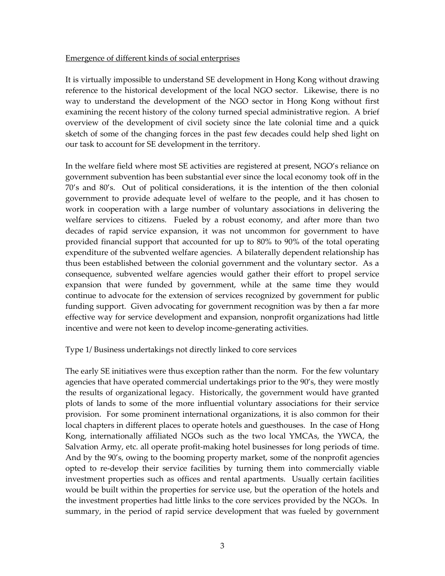### Emergence of different kinds of social enterprises

It is virtually impossible to understand SE development in Hong Kong without drawing reference to the historical development of the local NGO sector. Likewise, there is no way to understand the development of the NGO sector in Hong Kong without first examining the recent history of the colony turned special administrative region. A brief overview of the development of civil society since the late colonial time and a quick sketch of some of the changing forces in the past few decades could help shed light on our task to account for SE development in the territory.

In the welfare field where most SE activities are registered at present, NGO's reliance on government subvention has been substantial ever since the local economy took off in the 70's and 80's. Out of political considerations, it is the intention of the then colonial government to provide adequate level of welfare to the people, and it has chosen to work in cooperation with a large number of voluntary associations in delivering the welfare services to citizens. Fueled by a robust economy, and after more than two decades of rapid service expansion, it was not uncommon for government to have provided financial support that accounted for up to 80% to 90% of the total operating expenditure of the subvented welfare agencies. A bilaterally dependent relationship has thus been established between the colonial government and the voluntary sector. As a consequence, subvented welfare agencies would gather their effort to propel service expansion that were funded by government, while at the same time they would continue to advocate for the extension of services recognized by government for public funding support. Given advocating for government recognition was by then a far more effective way for service development and expansion, nonprofit organizations had little incentive and were not keen to develop income-generating activities.

### Type 1/ Business undertakings not directly linked to core services

The early SE initiatives were thus exception rather than the norm. For the few voluntary agencies that have operated commercial undertakings prior to the 90's, they were mostly the results of organizational legacy. Historically, the government would have granted plots of lands to some of the more influential voluntary associations for their service provision. For some prominent international organizations, it is also common for their local chapters in different places to operate hotels and guesthouses. In the case of Hong Kong, internationally affiliated NGOs such as the two local YMCAs, the YWCA, the Salvation Army, etc. all operate profit-making hotel businesses for long periods of time. And by the 90's, owing to the booming property market, some of the nonprofit agencies opted to re-develop their service facilities by turning them into commercially viable investment properties such as offices and rental apartments. Usually certain facilities would be built within the properties for service use, but the operation of the hotels and the investment properties had little links to the core services provided by the NGOs. In summary, in the period of rapid service development that was fueled by government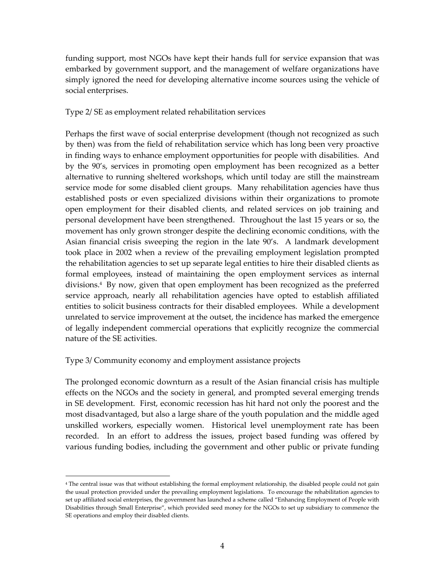funding support, most NGOs have kept their hands full for service expansion that was embarked by government support, and the management of welfare organizations have simply ignored the need for developing alternative income sources using the vehicle of social enterprises.

Type 2/ SE as employment related rehabilitation services

Perhaps the first wave of social enterprise development (though not recognized as such by then) was from the field of rehabilitation service which has long been very proactive in finding ways to enhance employment opportunities for people with disabilities. And by the 90's, services in promoting open employment has been recognized as a better alternative to running sheltered workshops, which until today are still the mainstream service mode for some disabled client groups. Many rehabilitation agencies have thus established posts or even specialized divisions within their organizations to promote open employment for their disabled clients, and related services on job training and personal development have been strengthened. Throughout the last 15 years or so, the movement has only grown stronger despite the declining economic conditions, with the Asian financial crisis sweeping the region in the late 90's. A landmark development took place in 2002 when a review of the prevailing employment legislation prompted the rehabilitation agencies to set up separate legal entities to hire their disabled clients as formal employees, instead of maintaining the open employment services as internal divisions.<sup>4</sup> By now, given that open employment has been recognized as the preferred service approach, nearly all rehabilitation agencies have opted to establish affiliated entities to solicit business contracts for their disabled employees. While a development unrelated to service improvement at the outset, the incidence has marked the emergence of legally independent commercial operations that explicitly recognize the commercial nature of the SE activities.

Type 3/ Community economy and employment assistance projects

 $\overline{a}$ 

The prolonged economic downturn as a result of the Asian financial crisis has multiple effects on the NGOs and the society in general, and prompted several emerging trends in SE development. First, economic recession has hit hard not only the poorest and the most disadvantaged, but also a large share of the youth population and the middle aged unskilled workers, especially women. Historical level unemployment rate has been recorded. In an effort to address the issues, project based funding was offered by various funding bodies, including the government and other public or private funding

<sup>4</sup> The central issue was that without establishing the formal employment relationship, the disabled people could not gain the usual protection provided under the prevailing employment legislations. To encourage the rehabilitation agencies to set up affiliated social enterprises, the government has launched a scheme called "Enhancing Employment of People with Disabilities through Small Enterprise", which provided seed money for the NGOs to set up subsidiary to commence the SE operations and employ their disabled clients.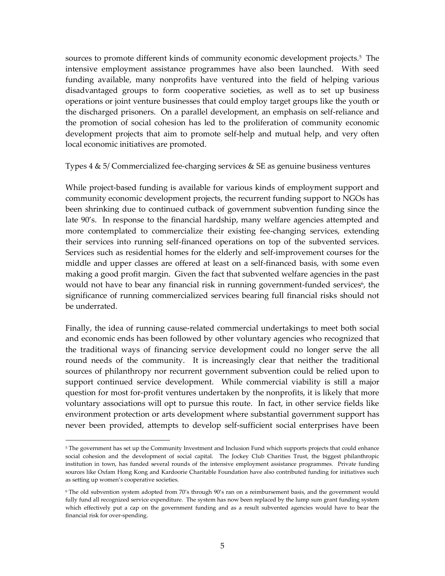sources to promote different kinds of community economic development projects.<sup>5</sup> The intensive employment assistance programmes have also been launched. With seed funding available, many nonprofits have ventured into the field of helping various disadvantaged groups to form cooperative societies, as well as to set up business operations or joint venture businesses that could employ target groups like the youth or the discharged prisoners. On a parallel development, an emphasis on self-reliance and the promotion of social cohesion has led to the proliferation of community economic development projects that aim to promote self-help and mutual help, and very often local economic initiatives are promoted.

Types  $4 \& 5$ / Commercialized fee-charging services  $\&$  SE as genuine business ventures

While project-based funding is available for various kinds of employment support and community economic development projects, the recurrent funding support to NGOs has been shrinking due to continued cutback of government subvention funding since the late 90's. In response to the financial hardship, many welfare agencies attempted and more contemplated to commercialize their existing fee-changing services, extending their services into running self-financed operations on top of the subvented services. Services such as residential homes for the elderly and self-improvement courses for the middle and upper classes are offered at least on a self-financed basis, with some even making a good profit margin. Given the fact that subvented welfare agencies in the past would not have to bear any financial risk in running government-funded services<sup>6</sup>, the significance of running commercialized services bearing full financial risks should not be underrated.

Finally, the idea of running cause-related commercial undertakings to meet both social and economic ends has been followed by other voluntary agencies who recognized that the traditional ways of financing service development could no longer serve the all round needs of the community. It is increasingly clear that neither the traditional sources of philanthropy nor recurrent government subvention could be relied upon to support continued service development. While commercial viability is still a major question for most for-profit ventures undertaken by the nonprofits, it is likely that more voluntary associations will opt to pursue this route. In fact, in other service fields like environment protection or arts development where substantial government support has never been provided, attempts to develop self-sufficient social enterprises have been

 $\overline{a}$ 

<sup>5</sup> The government has set up the Community Investment and Inclusion Fund which supports projects that could enhance social cohesion and the development of social capital. The Jockey Club Charities Trust, the biggest philanthropic institution in town, has funded several rounds of the intensive employment assistance programmes. Private funding sources like Oxfam Hong Kong and Kardoorie Charitable Foundation have also contributed funding for initiatives such as setting up women's cooperative societies.

<sup>6</sup> The old subvention system adopted from 70's through 90's ran on a reimbursement basis, and the government would fully fund all recognized service expenditure. The system has now been replaced by the lump sum grant funding system which effectively put a cap on the government funding and as a result subvented agencies would have to bear the financial risk for over-spending.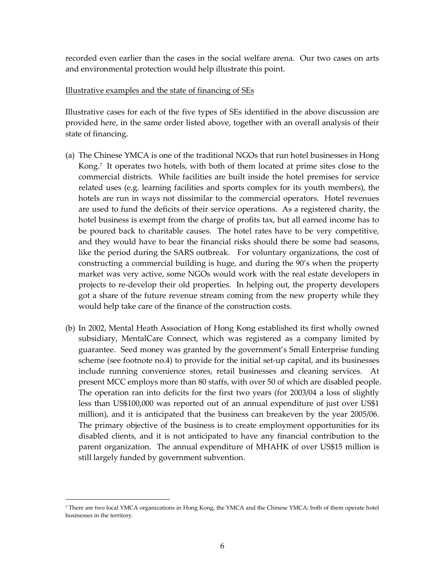recorded even earlier than the cases in the social welfare arena. Our two cases on arts and environmental protection would help illustrate this point.

#### Illustrative examples and the state of financing of SEs

Illustrative cases for each of the five types of SEs identified in the above discussion are provided here, in the same order listed above, together with an overall analysis of their state of financing.

- (a) The Chinese YMCA is one of the traditional NGOs that run hotel businesses in Hong Kong.<sup>7</sup> It operates two hotels, with both of them located at prime sites close to the commercial districts. While facilities are built inside the hotel premises for service related uses (e.g. learning facilities and sports complex for its youth members), the hotels are run in ways not dissimilar to the commercial operators. Hotel revenues are used to fund the deficits of their service operations. As a registered charity, the hotel business is exempt from the charge of profits tax, but all earned income has to be poured back to charitable causes. The hotel rates have to be very competitive, and they would have to bear the financial risks should there be some bad seasons, like the period during the SARS outbreak. For voluntary organizations, the cost of constructing a commercial building is huge, and during the 90's when the property market was very active, some NGOs would work with the real estate developers in projects to re-develop their old properties. In helping out, the property developers got a share of the future revenue stream coming from the new property while they would help take care of the finance of the construction costs.
- (b) In 2002, Mental Heath Association of Hong Kong established its first wholly owned subsidiary, MentalCare Connect, which was registered as a company limited by guarantee. Seed money was granted by the government's Small Enterprise funding scheme (see footnote no.4) to provide for the initial set-up capital, and its businesses include running convenience stores, retail businesses and cleaning services. At present MCC employs more than 80 staffs, with over 50 of which are disabled people. The operation ran into deficits for the first two years (for 2003/04 a loss of slightly less than US\$100,000 was reported out of an annual expenditure of just over US\$1 million), and it is anticipated that the business can breakeven by the year 2005/06. The primary objective of the business is to create employment opportunities for its disabled clients, and it is not anticipated to have any financial contribution to the parent organization. The annual expenditure of MHAHK of over US\$15 million is still largely funded by government subvention.

 $\overline{a}$ 

<sup>7</sup> There are two local YMCA organizations in Hong Kong, the YMCA and the Chinese YMCA; both of them operate hotel businesses in the territory.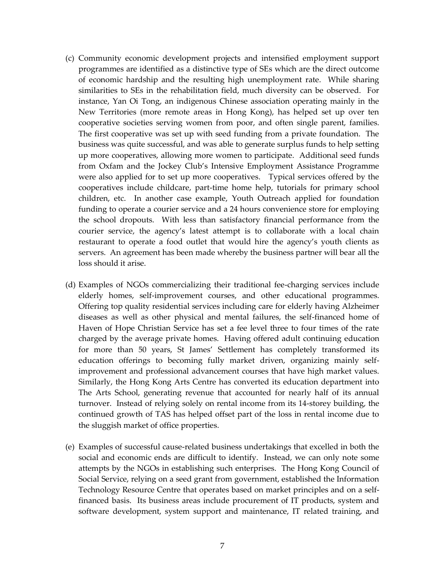- (c) Community economic development projects and intensified employment support programmes are identified as a distinctive type of SEs which are the direct outcome of economic hardship and the resulting high unemployment rate. While sharing similarities to SEs in the rehabilitation field, much diversity can be observed. For instance, Yan Oi Tong, an indigenous Chinese association operating mainly in the New Territories (more remote areas in Hong Kong), has helped set up over ten cooperative societies serving women from poor, and often single parent, families. The first cooperative was set up with seed funding from a private foundation. The business was quite successful, and was able to generate surplus funds to help setting up more cooperatives, allowing more women to participate. Additional seed funds from Oxfam and the Jockey Club's Intensive Employment Assistance Programme were also applied for to set up more cooperatives. Typical services offered by the cooperatives include childcare, part-time home help, tutorials for primary school children, etc. In another case example, Youth Outreach applied for foundation funding to operate a courier service and a 24 hours convenience store for employing the school dropouts. With less than satisfactory financial performance from the courier service, the agency's latest attempt is to collaborate with a local chain restaurant to operate a food outlet that would hire the agency's youth clients as servers. An agreement has been made whereby the business partner will bear all the loss should it arise.
- (d) Examples of NGOs commercializing their traditional fee-charging services include elderly homes, self-improvement courses, and other educational programmes. Offering top quality residential services including care for elderly having Alzheimer diseases as well as other physical and mental failures, the self-financed home of Haven of Hope Christian Service has set a fee level three to four times of the rate charged by the average private homes. Having offered adult continuing education for more than 50 years, St James' Settlement has completely transformed its education offerings to becoming fully market driven, organizing mainly selfimprovement and professional advancement courses that have high market values. Similarly, the Hong Kong Arts Centre has converted its education department into The Arts School, generating revenue that accounted for nearly half of its annual turnover. Instead of relying solely on rental income from its 14-storey building, the continued growth of TAS has helped offset part of the loss in rental income due to the sluggish market of office properties.
- (e) Examples of successful cause-related business undertakings that excelled in both the social and economic ends are difficult to identify. Instead, we can only note some attempts by the NGOs in establishing such enterprises. The Hong Kong Council of Social Service, relying on a seed grant from government, established the Information Technology Resource Centre that operates based on market principles and on a selffinanced basis. Its business areas include procurement of IT products, system and software development, system support and maintenance, IT related training, and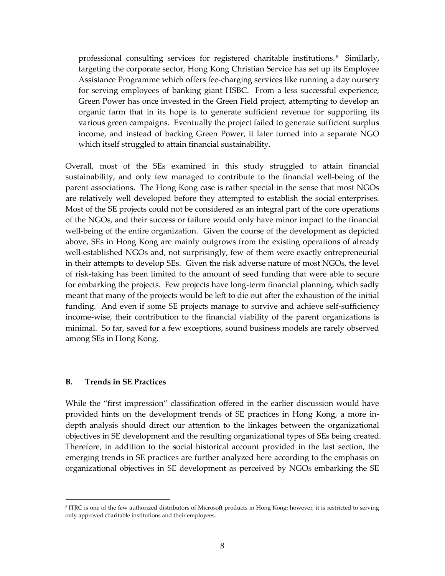professional consulting services for registered charitable institutions. <sup>8</sup> Similarly, targeting the corporate sector, Hong Kong Christian Service has set up its Employee Assistance Programme which offers fee-charging services like running a day nursery for serving employees of banking giant HSBC. From a less successful experience, Green Power has once invested in the Green Field project, attempting to develop an organic farm that in its hope is to generate sufficient revenue for supporting its various green campaigns. Eventually the project failed to generate sufficient surplus income, and instead of backing Green Power, it later turned into a separate NGO which itself struggled to attain financial sustainability.

Overall, most of the SEs examined in this study struggled to attain financial sustainability, and only few managed to contribute to the financial well-being of the parent associations. The Hong Kong case is rather special in the sense that most NGOs are relatively well developed before they attempted to establish the social enterprises. Most of the SE projects could not be considered as an integral part of the core operations of the NGOs, and their success or failure would only have minor impact to the financial well-being of the entire organization. Given the course of the development as depicted above, SEs in Hong Kong are mainly outgrows from the existing operations of already well-established NGOs and, not surprisingly, few of them were exactly entrepreneurial in their attempts to develop SEs. Given the risk adverse nature of most NGOs, the level of risk-taking has been limited to the amount of seed funding that were able to secure for embarking the projects. Few projects have long-term financial planning, which sadly meant that many of the projects would be left to die out after the exhaustion of the initial funding. And even if some SE projects manage to survive and achieve self-sufficiency income-wise, their contribution to the financial viability of the parent organizations is minimal. So far, saved for a few exceptions, sound business models are rarely observed among SEs in Hong Kong.

#### **B. Trends in SE Practices**

 $\overline{a}$ 

While the "first impression" classification offered in the earlier discussion would have provided hints on the development trends of SE practices in Hong Kong, a more indepth analysis should direct our attention to the linkages between the organizational objectives in SE development and the resulting organizational types of SEs being created. Therefore, in addition to the social historical account provided in the last section, the emerging trends in SE practices are further analyzed here according to the emphasis on organizational objectives in SE development as perceived by NGOs embarking the SE

<sup>8</sup> ITRC is one of the few authorized distributors of Microsoft products in Hong Kong; however, it is restricted to serving only approved charitable institutions and their employees.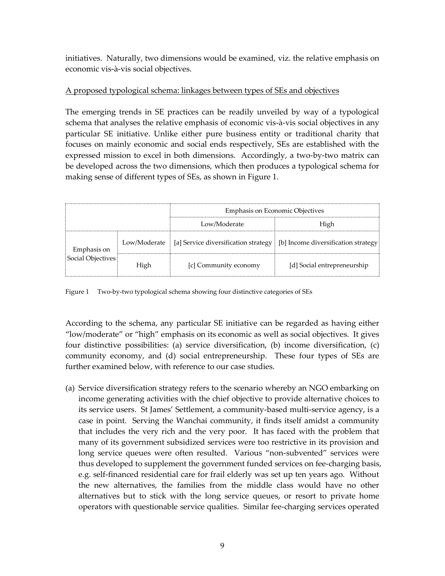initiatives. Naturally, two dimensions would be examined, viz. the relative emphasis on economic vis-à-vis social objectives.

## A proposed typological schema: linkages between types of SEs and objectives

The emerging trends in SE practices can be readily unveiled by way of a typological schema that analyses the relative emphasis of economic vis-à-vis social objectives in any particular SE initiative. Unlike either pure business entity or traditional charity that focuses on mainly economic and social ends respectively, SEs are established with the expressed mission to excel in both dimensions. Accordingly, a two-by-two matrix can be developed across the two dimensions, which then produces a typological schema for making sense of different types of SEs, as shown in Figure 1.

|                                  |      | <b>Emphasis on Economic Objectives</b>                                                    |                             |
|----------------------------------|------|-------------------------------------------------------------------------------------------|-----------------------------|
|                                  |      | Low/Moderate                                                                              | High                        |
| Emphasis on<br>Social Objectives |      | Low/Moderate   [a] Service diversification strategy   [b] Income diversification strategy |                             |
|                                  | High | [c] Community economy                                                                     | [d] Social entrepreneurship |

Figure 1 Two-by-two typological schema showing four distinctive categories of SEs

According to the schema, any particular SE initiative can be regarded as having either "low/moderate" or "high" emphasis on its economic as well as social objectives. It gives four distinctive possibilities: (a) service diversification, (b) income diversification, (c) community economy, and (d) social entrepreneurship. These four types of SEs are further examined below, with reference to our case studies.

(a) Service diversification strategy refers to the scenario whereby an NGO embarking on income generating activities with the chief objective to provide alternative choices to its service users. St James' Settlement, a community-based multi-service agency, is a case in point. Serving the Wanchai community, it finds itself amidst a community that includes the very rich and the very poor. It has faced with the problem that many of its government subsidized services were too restrictive in its provision and long service queues were often resulted. Various "non-subvented" services were thus developed to supplement the government funded services on fee-charging basis, e.g. self-financed residential care for frail elderly was set up ten years ago. Without the new alternatives, the families from the middle class would have no other alternatives but to stick with the long service queues, or resort to private home operators with questionable service qualities. Similar fee-charging services operated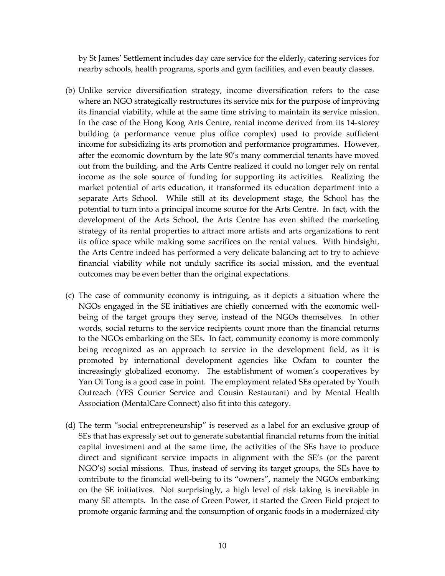by St James' Settlement includes day care service for the elderly, catering services for nearby schools, health programs, sports and gym facilities, and even beauty classes.

- (b) Unlike service diversification strategy, income diversification refers to the case where an NGO strategically restructures its service mix for the purpose of improving its financial viability, while at the same time striving to maintain its service mission. In the case of the Hong Kong Arts Centre, rental income derived from its 14-storey building (a performance venue plus office complex) used to provide sufficient income for subsidizing its arts promotion and performance programmes. However, after the economic downturn by the late 90's many commercial tenants have moved out from the building, and the Arts Centre realized it could no longer rely on rental income as the sole source of funding for supporting its activities. Realizing the market potential of arts education, it transformed its education department into a separate Arts School. While still at its development stage, the School has the potential to turn into a principal income source for the Arts Centre. In fact, with the development of the Arts School, the Arts Centre has even shifted the marketing strategy of its rental properties to attract more artists and arts organizations to rent its office space while making some sacrifices on the rental values. With hindsight, the Arts Centre indeed has performed a very delicate balancing act to try to achieve financial viability while not unduly sacrifice its social mission, and the eventual outcomes may be even better than the original expectations.
- (c) The case of community economy is intriguing, as it depicts a situation where the NGOs engaged in the SE initiatives are chiefly concerned with the economic wellbeing of the target groups they serve, instead of the NGOs themselves. In other words, social returns to the service recipients count more than the financial returns to the NGOs embarking on the SEs. In fact, community economy is more commonly being recognized as an approach to service in the development field, as it is promoted by international development agencies like Oxfam to counter the increasingly globalized economy. The establishment of women's cooperatives by Yan Oi Tong is a good case in point. The employment related SEs operated by Youth Outreach (YES Courier Service and Cousin Restaurant) and by Mental Health Association (MentalCare Connect) also fit into this category.
- (d) The term "social entrepreneurship" is reserved as a label for an exclusive group of SEs that has expressly set out to generate substantial financial returns from the initial capital investment and at the same time, the activities of the SEs have to produce direct and significant service impacts in alignment with the SE's (or the parent NGO's) social missions. Thus, instead of serving its target groups, the SEs have to contribute to the financial well-being to its "owners", namely the NGOs embarking on the SE initiatives. Not surprisingly, a high level of risk taking is inevitable in many SE attempts. In the case of Green Power, it started the Green Field project to promote organic farming and the consumption of organic foods in a modernized city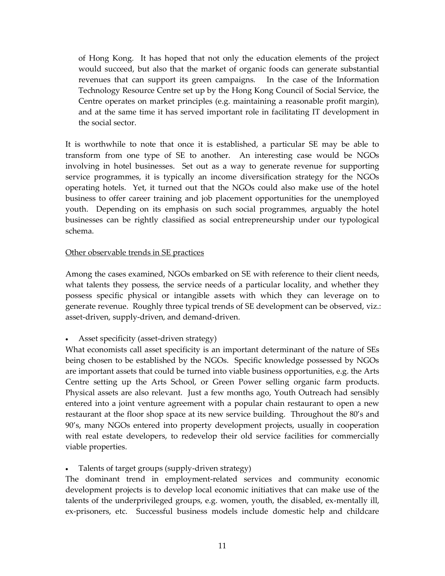of Hong Kong. It has hoped that not only the education elements of the project would succeed, but also that the market of organic foods can generate substantial revenues that can support its green campaigns. In the case of the Information Technology Resource Centre set up by the Hong Kong Council of Social Service, the Centre operates on market principles (e.g. maintaining a reasonable profit margin), and at the same time it has served important role in facilitating IT development in the social sector.

It is worthwhile to note that once it is established, a particular SE may be able to transform from one type of SE to another. An interesting case would be NGOs involving in hotel businesses. Set out as a way to generate revenue for supporting service programmes, it is typically an income diversification strategy for the NGOs operating hotels. Yet, it turned out that the NGOs could also make use of the hotel business to offer career training and job placement opportunities for the unemployed youth. Depending on its emphasis on such social programmes, arguably the hotel businesses can be rightly classified as social entrepreneurship under our typological schema.

### Other observable trends in SE practices

Among the cases examined, NGOs embarked on SE with reference to their client needs, what talents they possess, the service needs of a particular locality, and whether they possess specific physical or intangible assets with which they can leverage on to generate revenue. Roughly three typical trends of SE development can be observed, viz.: asset-driven, supply-driven, and demand-driven.

## Asset specificity (asset-driven strategy)

What economists call asset specificity is an important determinant of the nature of SEs being chosen to be established by the NGOs. Specific knowledge possessed by NGOs are important assets that could be turned into viable business opportunities, e.g. the Arts Centre setting up the Arts School, or Green Power selling organic farm products. Physical assets are also relevant. Just a few months ago, Youth Outreach had sensibly entered into a joint venture agreement with a popular chain restaurant to open a new restaurant at the floor shop space at its new service building. Throughout the 80's and 90's, many NGOs entered into property development projects, usually in cooperation with real estate developers, to redevelop their old service facilities for commercially viable properties.

## Talents of target groups (supply-driven strategy)

The dominant trend in employment-related services and community economic development projects is to develop local economic initiatives that can make use of the talents of the underprivileged groups, e.g. women, youth, the disabled, ex-mentally ill, ex-prisoners, etc. Successful business models include domestic help and childcare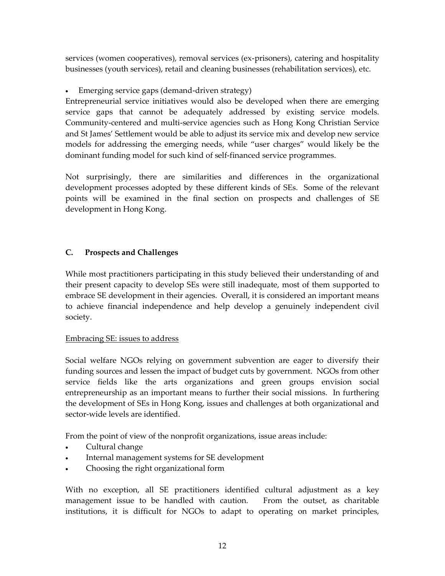services (women cooperatives), removal services (ex-prisoners), catering and hospitality businesses (youth services), retail and cleaning businesses (rehabilitation services), etc.

Emerging service gaps (demand-driven strategy)

Entrepreneurial service initiatives would also be developed when there are emerging service gaps that cannot be adequately addressed by existing service models. Community-centered and multi-service agencies such as Hong Kong Christian Service and St James' Settlement would be able to adjust its service mix and develop new service models for addressing the emerging needs, while "user charges" would likely be the dominant funding model for such kind of self-financed service programmes.

Not surprisingly, there are similarities and differences in the organizational development processes adopted by these different kinds of SEs. Some of the relevant points will be examined in the final section on prospects and challenges of SE development in Hong Kong.

# **C. Prospects and Challenges**

While most practitioners participating in this study believed their understanding of and their present capacity to develop SEs were still inadequate, most of them supported to embrace SE development in their agencies. Overall, it is considered an important means to achieve financial independence and help develop a genuinely independent civil society.

## Embracing SE: issues to address

Social welfare NGOs relying on government subvention are eager to diversify their funding sources and lessen the impact of budget cuts by government. NGOs from other service fields like the arts organizations and green groups envision social entrepreneurship as an important means to further their social missions. In furthering the development of SEs in Hong Kong, issues and challenges at both organizational and sector-wide levels are identified.

From the point of view of the nonprofit organizations, issue areas include:

- Cultural change
- Internal management systems for SE development
- Choosing the right organizational form

With no exception, all SE practitioners identified cultural adjustment as a key management issue to be handled with caution. From the outset, as charitable institutions, it is difficult for NGOs to adapt to operating on market principles,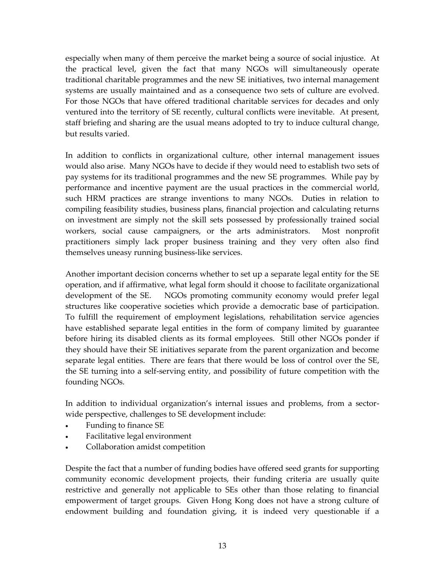especially when many of them perceive the market being a source of social injustice. At the practical level, given the fact that many NGOs will simultaneously operate traditional charitable programmes and the new SE initiatives, two internal management systems are usually maintained and as a consequence two sets of culture are evolved. For those NGOs that have offered traditional charitable services for decades and only ventured into the territory of SE recently, cultural conflicts were inevitable. At present, staff briefing and sharing are the usual means adopted to try to induce cultural change, but results varied.

In addition to conflicts in organizational culture, other internal management issues would also arise. Many NGOs have to decide if they would need to establish two sets of pay systems for its traditional programmes and the new SE programmes. While pay by performance and incentive payment are the usual practices in the commercial world, such HRM practices are strange inventions to many NGOs. Duties in relation to compiling feasibility studies, business plans, financial projection and calculating returns on investment are simply not the skill sets possessed by professionally trained social workers, social cause campaigners, or the arts administrators. Most nonprofit practitioners simply lack proper business training and they very often also find themselves uneasy running business-like services.

Another important decision concerns whether to set up a separate legal entity for the SE operation, and if affirmative, what legal form should it choose to facilitate organizational development of the SE. NGOs promoting community economy would prefer legal structures like cooperative societies which provide a democratic base of participation. To fulfill the requirement of employment legislations, rehabilitation service agencies have established separate legal entities in the form of company limited by guarantee before hiring its disabled clients as its formal employees. Still other NGOs ponder if they should have their SE initiatives separate from the parent organization and become separate legal entities. There are fears that there would be loss of control over the SE, the SE turning into a self-serving entity, and possibility of future competition with the founding NGOs.

In addition to individual organization's internal issues and problems, from a sectorwide perspective, challenges to SE development include:

- Funding to finance SE
- Facilitative legal environment
- Collaboration amidst competition

Despite the fact that a number of funding bodies have offered seed grants for supporting community economic development projects, their funding criteria are usually quite restrictive and generally not applicable to SEs other than those relating to financial empowerment of target groups. Given Hong Kong does not have a strong culture of endowment building and foundation giving, it is indeed very questionable if a